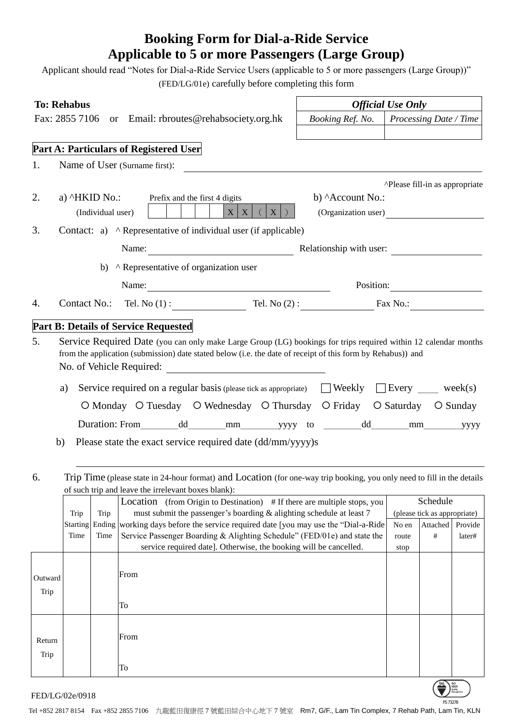## **Booking Form for Dial-a-Ride Service Applicable to 5 or more Passengers (Large Group)**

Applicant should read "Notes for Dial-a-Ride Service Users (applicable to 5 or more passengers (Large Group))" (FED/LG/01e) carefully before completing this form

| <b>To: Rehabus</b><br>Fax: 2855 7106 or Email: rbroutes@rehabsociety.org.hk |                                                          |      |                                                                                                                                                                                                                                                                                                                                                                                                                          |  | <b>Official Use Only</b> |               |                                          |         |  |
|-----------------------------------------------------------------------------|----------------------------------------------------------|------|--------------------------------------------------------------------------------------------------------------------------------------------------------------------------------------------------------------------------------------------------------------------------------------------------------------------------------------------------------------------------------------------------------------------------|--|--------------------------|---------------|------------------------------------------|---------|--|
|                                                                             |                                                          |      |                                                                                                                                                                                                                                                                                                                                                                                                                          |  | Booking Ref. No.         |               | Processing Date / Time                   |         |  |
|                                                                             |                                                          |      |                                                                                                                                                                                                                                                                                                                                                                                                                          |  |                          |               |                                          |         |  |
|                                                                             |                                                          |      | Part A: Particulars of Registered User                                                                                                                                                                                                                                                                                                                                                                                   |  |                          |               |                                          |         |  |
| 1.                                                                          |                                                          |      | Name of User (Surname first):                                                                                                                                                                                                                                                                                                                                                                                            |  |                          |               |                                          |         |  |
|                                                                             |                                                          |      |                                                                                                                                                                                                                                                                                                                                                                                                                          |  |                          |               | ^Please fill-in as appropriate           |         |  |
| 2.                                                                          |                                                          |      | a) ^HKID No.: Prefix and the first 4 digits                                                                                                                                                                                                                                                                                                                                                                              |  | b) Account No.:          |               |                                          |         |  |
|                                                                             | $X$ $X$<br>(Organization user)<br>(Individual user)<br>X |      |                                                                                                                                                                                                                                                                                                                                                                                                                          |  |                          |               |                                          |         |  |
| 3.                                                                          |                                                          |      | Contact: a) ^ Representative of individual user (if applicable)                                                                                                                                                                                                                                                                                                                                                          |  |                          |               |                                          |         |  |
|                                                                             |                                                          |      | Name: <u>Name:</u> Relationship with user:                                                                                                                                                                                                                                                                                                                                                                               |  |                          |               |                                          |         |  |
|                                                                             |                                                          |      | b) ^ Representative of organization user                                                                                                                                                                                                                                                                                                                                                                                 |  |                          |               |                                          |         |  |
|                                                                             |                                                          |      |                                                                                                                                                                                                                                                                                                                                                                                                                          |  |                          |               | Position:                                |         |  |
| 4.                                                                          |                                                          |      | Contact No.: Tel. No $(1)$ : Tel. No $(2)$ : Fax No.:                                                                                                                                                                                                                                                                                                                                                                    |  |                          |               |                                          |         |  |
|                                                                             |                                                          |      | <b>Part B: Details of Service Requested</b>                                                                                                                                                                                                                                                                                                                                                                              |  |                          |               |                                          |         |  |
| b)<br>6.                                                                    | a)                                                       |      | Service required on a regular basis (please tick as appropriate) $\Box$ Weekly $\Box$ Every $\Box$ week(s)<br>O Monday O Tuesday O Wednesday O Thursday O Friday O Saturday O Sunday<br>Duration: From dd mm yyyy to dd mm yyyy<br>Please state the exact service required date (dd/mm/yyyy)s<br>Trip Time (please state in 24-hour format) and Location (for one-way trip booking, you only need to fill in the details |  |                          |               |                                          |         |  |
|                                                                             |                                                          |      | of such trip and leave the irrelevant boxes blank):                                                                                                                                                                                                                                                                                                                                                                      |  |                          |               |                                          |         |  |
|                                                                             | Trip                                                     | Trip | Location (from Origin to Destination) # If there are multiple stops, you<br>must submit the passenger's boarding & alighting schedule at least 7                                                                                                                                                                                                                                                                         |  |                          |               | Schedule<br>(please tick as appropriate) |         |  |
|                                                                             | <b>Starting</b>                                          |      | Ending working days before the service required date [you may use the "Dial-a-Ride"]                                                                                                                                                                                                                                                                                                                                     |  |                          | No en         | Attached                                 | Provide |  |
|                                                                             | Time                                                     | Time | Service Passenger Boarding & Alighting Schedule" (FED/01e) and state the<br>service required date]. Otherwise, the booking will be cancelled.                                                                                                                                                                                                                                                                            |  |                          | route<br>stop | #                                        | later#  |  |
| Outward<br>Trip                                                             |                                                          |      | From<br>To                                                                                                                                                                                                                                                                                                                                                                                                               |  |                          |               |                                          |         |  |
| Return<br>Trip                                                              |                                                          |      | From                                                                                                                                                                                                                                                                                                                                                                                                                     |  |                          |               |                                          |         |  |

FED/LG/02e/0918

Tel +852 2817 8154 Fax +852 2855 7106 九龍藍田復康徑 7 號藍田綜合中心地下 7 號室 Rm7, G/F., Lam Tin Complex, 7 Rehab Path, Lam Tin, KLN

FS 73278